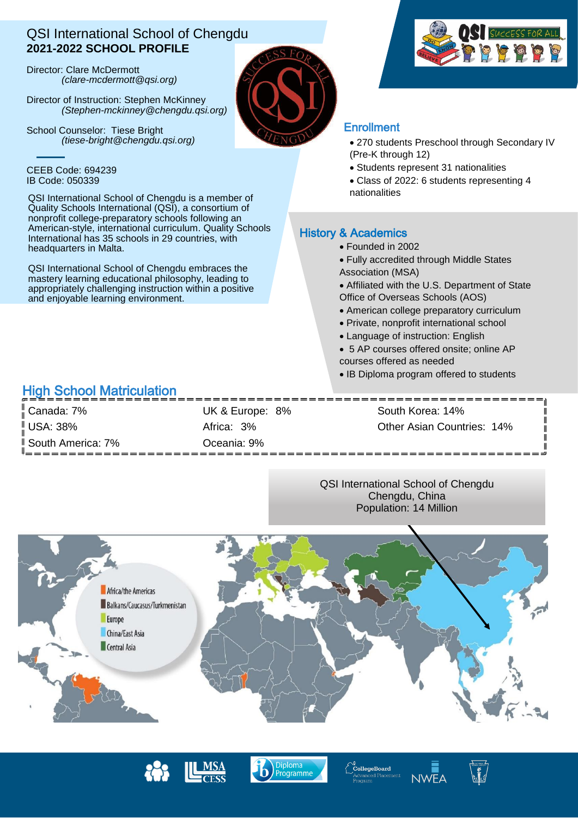## QSI International School of Chengdu **2021-2022 SCHOOL PROFILE**

Director: Clare McDermott *(clare-mcdermott@qsi.org)*

Director of Instruction: Stephen McKinney *(Stephen-mckinney@chengdu.qsi.org)*

School Counselor: Tiese Bright *(tiese-bright@chengdu.qsi.org)*

### CEEB Code: 694239 IB Code: 050339

QSI International School of Chengdu is a member of Quality Schools International (QSI), a consortium of nonprofit college-preparatory schools following an American-style, international curriculum. Quality Schools International has 35 schools in 29 countries, with headquarters in Malta.

QSI International School of Chengdu embraces the mastery learning educational philosophy, leading to appropriately challenging instruction within a positive and enjoyable learning environment.

# High School Matriculation

Canada: 7% Canada: 7% Canada: 7% UK & Europe: 8% South Korea: 14% South America: 7% Oceania: 9%

USA: 38% Africa: 3% Other Asian Countries: 14%

 $\mathbf l$  $\mathbf{I}$  $\mathbf{I}$ Ш Ш

QSI International School of Chengdu Chengdu, China Population: 14 Million



ploma

Programme





## **Enrollment**

- 270 students Preschool through Secondary IV (Pre-K through 12)
- Students represent 31 nationalities
- Class of 2022: 6 students representing 4 nationalities

### History & Academics

- Founded in 2002
- Fully accredited through Middle States
- Association (MSA)
- Affiliated with the U.S. Department of State Office of Overseas Schools (AOS)
- American college preparatory curriculum
- Private, nonprofit international school
- Language of instruction: English
- 5 AP courses offered onsite; online AP courses offered as needed
- IB Diploma program offered to students





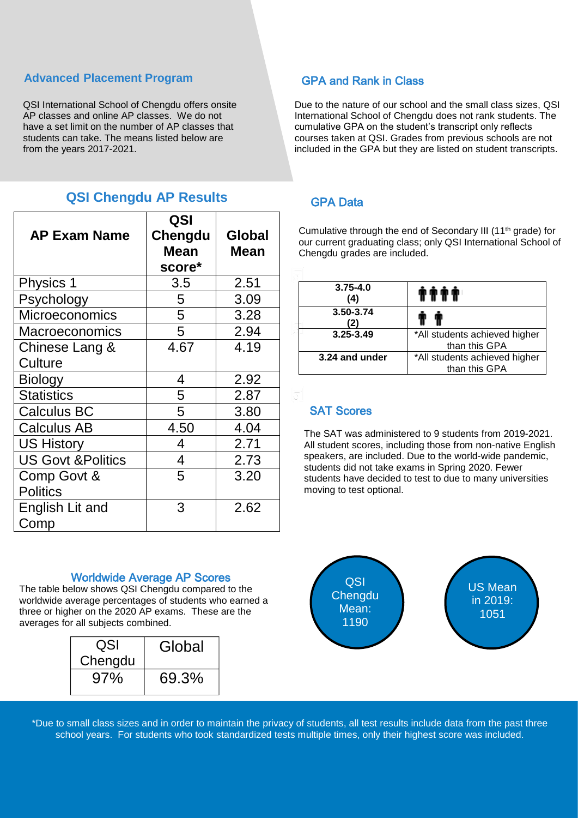### **Advanced Placement Program**

QSI International School of Chengdu offers onsite AP classes and online AP classes. We do not have a set limit on the number of AP classes that students can take. The means listed below are from the years 2017-2021.

## **QSI Chengdu AP Results**

| <b>AP Exam Name</b>            | QSI<br>Chengdu<br><b>Mean</b><br>score* | Global<br>Mean |
|--------------------------------|-----------------------------------------|----------------|
| Physics 1                      | 3.5                                     | 2.51           |
| Psychology                     | 5                                       | 3.09           |
| <b>Microeconomics</b>          | 5                                       | 3.28           |
| <b>Macroeconomics</b>          | 5                                       | 2.94           |
| Chinese Lang &                 | 4.67                                    | 4.19           |
| Culture                        |                                         |                |
| <b>Biology</b>                 | 4                                       | 2.92           |
| <b>Statistics</b>              | 5                                       | 2.87           |
| <b>Calculus BC</b>             | 5                                       | 3.80           |
| <b>Calculus AB</b>             | 4.50                                    | 4.04           |
| <b>US History</b>              | 4                                       | 2.71           |
| <b>US Govt &amp; Politics</b>  | 4                                       | 2.73           |
| Comp Govt &<br><b>Politics</b> | 5                                       | 3.20           |
| English Lit and<br>Comp        | 3                                       | 2.62           |

### Worldwide Average AP Scores

three or higher on the 2020 AP exal<br>averages for all subjects combined. The table below shows QSI Chengdu compared to the worldwide average percentages of students who earned a three or higher on the 2020 AP exams. These are the

| QSI     | Global |
|---------|--------|
| Chengdu |        |
| 97%     | 69.3%  |

## GPA and Rank in Class

Due to the nature of our school and the small class sizes, QSI International School of Chengdu does not rank students. The cumulative GPA on the student's transcript only reflects courses taken at QSI. Grades from previous schools are not included in the GPA but they are listed on student transcripts.

### GPA Data

 our current graduating class; only QSI International School of Cumulative through the end of Secondary III (11th grade) for Chengdu grades are included.

| $3.75 - 4.0$<br>(4) | .                                              |
|---------------------|------------------------------------------------|
| 3.50-3.74<br>(2)    |                                                |
| $3.25 - 3.49$       | *All students achieved higher<br>than this GPA |
| 3.24 and under      | *All students achieved higher<br>than this GPA |

## SAT Scores

All student scores, including those from non-native Englis<br>speakers, are included. Due to the world-wide pandemic, The SAT was administered to 9 students from 2019-2021. All student scores, including those from non-native English students did not take exams in Spring 2020. Fewer students have decided to test to due to many universities moving to test optional.



\*Due to small class sizes and in order to maintain the privacy of students, all test results include data from the past three school years. For students who took standardized tests multiple times, only their highest score was included.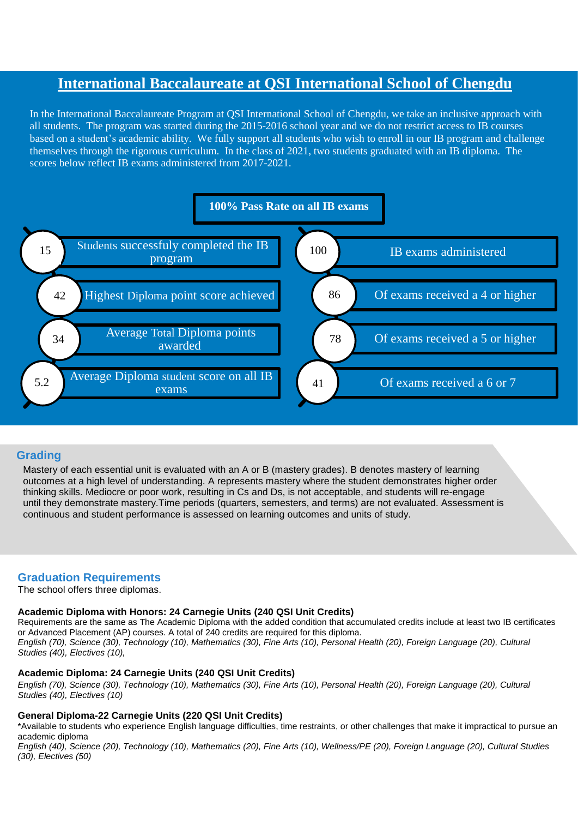## **International Baccalaureate at QSI International School of Chengdu**

In the International Baccalaureate Program at QSI International School of Chengdu, we take an inclusive approach with all students. The program was started during the 2015-2016 school year and we do not restrict access to IB courses based on a student's academic ability. We fully support all students who wish to enroll in our IB program and challenge themselves through the rigorous curriculum. In the class of 2021, two students graduated with an IB diploma. The scores below reflect IB exams administered from 2017-2021.



### **Grading**

Mastery of each essential unit is evaluated with an A or B (mastery grades). B denotes mastery of learning outcomes at a high level of understanding. A represents mastery where the student demonstrates higher order thinking skills. Mediocre or poor work, resulting in Cs and Ds, is not acceptable, and students will re-engage until they demonstrate mastery.Time periods (quarters, semesters, and terms) are not evaluated. Assessment is continuous and student performance is assessed on learning outcomes and units of study.

### **Graduation Requirements**

The school offers three diplomas.

### **Academic Diploma with Honors: 24 Carnegie Units (240 QSI Unit Credits)**

Requirements are the same as The Academic Diploma with the added condition that accumulated credits include at least two IB certificates or Advanced Placement (AP) courses. A total of 240 credits are required for this diploma. English (70), Science (30), Technology (10), Mathematics (30), Fine Arts (10), Personal Health (20), Foreign Language (20), Cultural *Studies (40), Electives (10),*

#### **Academic Diploma: 24 Carnegie Units (240 QSI Unit Credits)**

English (70), Science (30), Technology (10), Mathematics (30), Fine Arts (10), Personal Health (20), Foreign Language (20), Cultural *Studies (40), Electives (10)*

### **General Diploma-22 Carnegie Units (220 QSI Unit Credits)**

\*Available to students who experience English language difficulties, time restraints, or other challenges that make it impractical to pursue an academic diploma

English (40), Science (20), Technology (10), Mathematics (20), Fine Arts (10), Wellness/PE (20), Foreign Language (20), Cultural Studies *(30), Electives (50)*